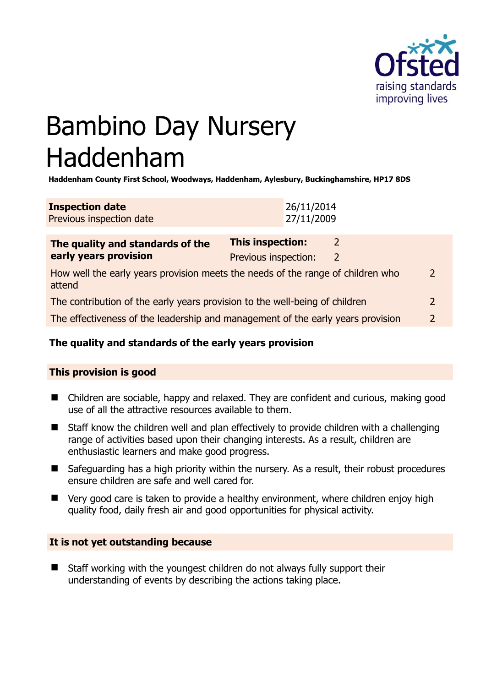

# Bambino Day Nursery Haddenham

**Haddenham County First School, Woodways, Haddenham, Aylesbury, Buckinghamshire, HP17 8DS** 

| <b>Inspection date</b>   | 26/11/2014 |
|--------------------------|------------|
| Previous inspection date | 27/11/2009 |

| The quality and standards of the<br>early years provision                                 | This inspection:     | 2             |               |
|-------------------------------------------------------------------------------------------|----------------------|---------------|---------------|
|                                                                                           | Previous inspection: | $\mathcal{L}$ |               |
| How well the early years provision meets the needs of the range of children who<br>attend |                      |               | $\mathcal{P}$ |
| The contribution of the early years provision to the well-being of children               |                      |               |               |
| The effectiveness of the leadership and management of the early years provision           |                      |               | 2             |
|                                                                                           |                      |               |               |

## **The quality and standards of the early years provision**

#### **This provision is good**

- Children are sociable, happy and relaxed. They are confident and curious, making good use of all the attractive resources available to them.
- Staff know the children well and plan effectively to provide children with a challenging range of activities based upon their changing interests. As a result, children are enthusiastic learners and make good progress.
- Safeguarding has a high priority within the nursery. As a result, their robust procedures ensure children are safe and well cared for.
- Very good care is taken to provide a healthy environment, where children enjoy high quality food, daily fresh air and good opportunities for physical activity.

#### **It is not yet outstanding because**

■ Staff working with the youngest children do not always fully support their understanding of events by describing the actions taking place.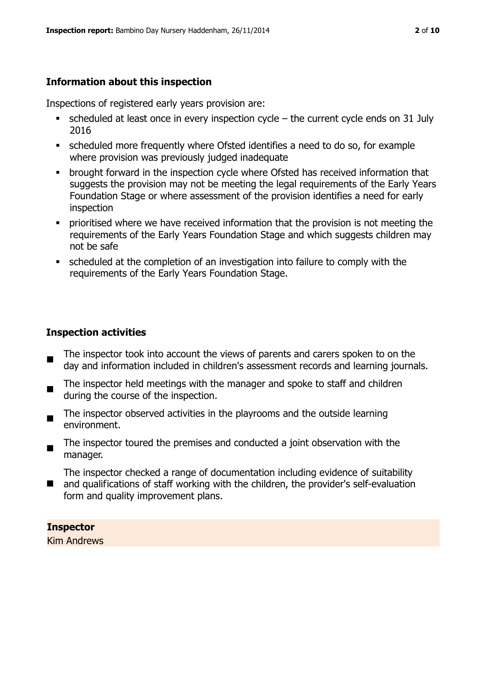## **Information about this inspection**

Inspections of registered early years provision are:

- scheduled at least once in every inspection cycle the current cycle ends on 31 July 2016
- scheduled more frequently where Ofsted identifies a need to do so, for example where provision was previously judged inadequate
- **•** brought forward in the inspection cycle where Ofsted has received information that suggests the provision may not be meeting the legal requirements of the Early Years Foundation Stage or where assessment of the provision identifies a need for early inspection
- **•** prioritised where we have received information that the provision is not meeting the requirements of the Early Years Foundation Stage and which suggests children may not be safe
- scheduled at the completion of an investigation into failure to comply with the requirements of the Early Years Foundation Stage.

## **Inspection activities**

- $\blacksquare$ The inspector took into account the views of parents and carers spoken to on the day and information included in children's assessment records and learning journals.
- The inspector held meetings with the manager and spoke to staff and children during the course of the inspection.
- The inspector observed activities in the playrooms and the outside learning environment.
- The inspector toured the premises and conducted a joint observation with the manager.
- The inspector checked a range of documentation including evidence of suitability
- and qualifications of staff working with the children, the provider's self-evaluation form and quality improvement plans.

## **Inspector**

Kim Andrews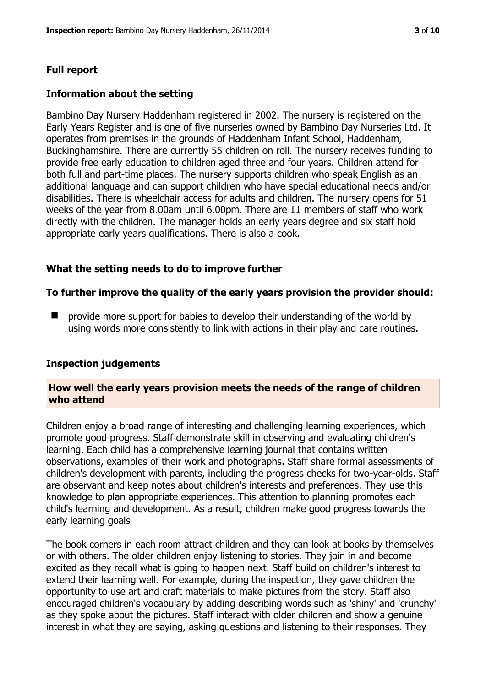#### **Full report**

#### **Information about the setting**

Bambino Day Nursery Haddenham registered in 2002. The nursery is registered on the Early Years Register and is one of five nurseries owned by Bambino Day Nurseries Ltd. It operates from premises in the grounds of Haddenham Infant School, Haddenham, Buckinghamshire. There are currently 55 children on roll. The nursery receives funding to provide free early education to children aged three and four years. Children attend for both full and part-time places. The nursery supports children who speak English as an additional language and can support children who have special educational needs and/or disabilities. There is wheelchair access for adults and children. The nursery opens for 51 weeks of the year from 8.00am until 6.00pm. There are 11 members of staff who work directly with the children. The manager holds an early years degree and six staff hold appropriate early years qualifications. There is also a cook.

#### **What the setting needs to do to improve further**

#### **To further improve the quality of the early years provision the provider should:**

 provide more support for babies to develop their understanding of the world by using words more consistently to link with actions in their play and care routines.

#### **Inspection judgements**

#### **How well the early years provision meets the needs of the range of children who attend**

Children enjoy a broad range of interesting and challenging learning experiences, which promote good progress. Staff demonstrate skill in observing and evaluating children's learning. Each child has a comprehensive learning journal that contains written observations, examples of their work and photographs. Staff share formal assessments of children's development with parents, including the progress checks for two-year-olds. Staff are observant and keep notes about children's interests and preferences. They use this knowledge to plan appropriate experiences. This attention to planning promotes each child's learning and development. As a result, children make good progress towards the early learning goals

The book corners in each room attract children and they can look at books by themselves or with others. The older children enjoy listening to stories. They join in and become excited as they recall what is going to happen next. Staff build on children's interest to extend their learning well. For example, during the inspection, they gave children the opportunity to use art and craft materials to make pictures from the story. Staff also encouraged children's vocabulary by adding describing words such as 'shiny' and 'crunchy' as they spoke about the pictures. Staff interact with older children and show a genuine interest in what they are saying, asking questions and listening to their responses. They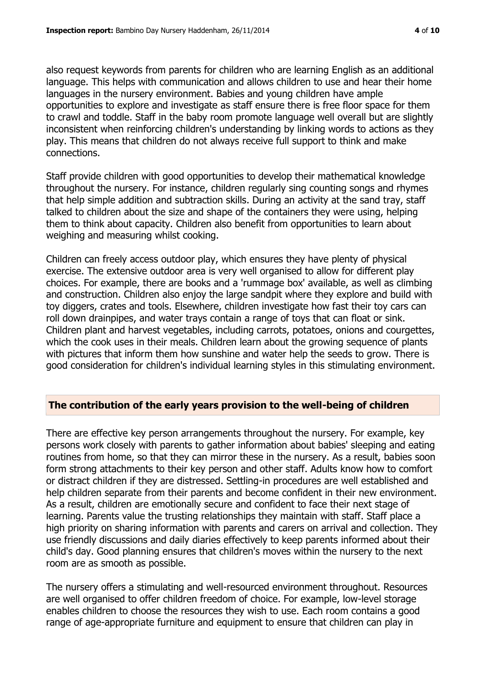also request keywords from parents for children who are learning English as an additional language. This helps with communication and allows children to use and hear their home languages in the nursery environment. Babies and young children have ample opportunities to explore and investigate as staff ensure there is free floor space for them to crawl and toddle. Staff in the baby room promote language well overall but are slightly inconsistent when reinforcing children's understanding by linking words to actions as they play. This means that children do not always receive full support to think and make connections.

Staff provide children with good opportunities to develop their mathematical knowledge throughout the nursery. For instance, children regularly sing counting songs and rhymes that help simple addition and subtraction skills. During an activity at the sand tray, staff talked to children about the size and shape of the containers they were using, helping them to think about capacity. Children also benefit from opportunities to learn about weighing and measuring whilst cooking.

Children can freely access outdoor play, which ensures they have plenty of physical exercise. The extensive outdoor area is very well organised to allow for different play choices. For example, there are books and a 'rummage box' available, as well as climbing and construction. Children also enjoy the large sandpit where they explore and build with toy diggers, crates and tools. Elsewhere, children investigate how fast their toy cars can roll down drainpipes, and water trays contain a range of toys that can float or sink. Children plant and harvest vegetables, including carrots, potatoes, onions and courgettes, which the cook uses in their meals. Children learn about the growing sequence of plants with pictures that inform them how sunshine and water help the seeds to grow. There is good consideration for children's individual learning styles in this stimulating environment.

## **The contribution of the early years provision to the well-being of children**

There are effective key person arrangements throughout the nursery. For example, key persons work closely with parents to gather information about babies' sleeping and eating routines from home, so that they can mirror these in the nursery. As a result, babies soon form strong attachments to their key person and other staff. Adults know how to comfort or distract children if they are distressed. Settling-in procedures are well established and help children separate from their parents and become confident in their new environment. As a result, children are emotionally secure and confident to face their next stage of learning. Parents value the trusting relationships they maintain with staff. Staff place a high priority on sharing information with parents and carers on arrival and collection. They use friendly discussions and daily diaries effectively to keep parents informed about their child's day. Good planning ensures that children's moves within the nursery to the next room are as smooth as possible.

The nursery offers a stimulating and well-resourced environment throughout. Resources are well organised to offer children freedom of choice. For example, low-level storage enables children to choose the resources they wish to use. Each room contains a good range of age-appropriate furniture and equipment to ensure that children can play in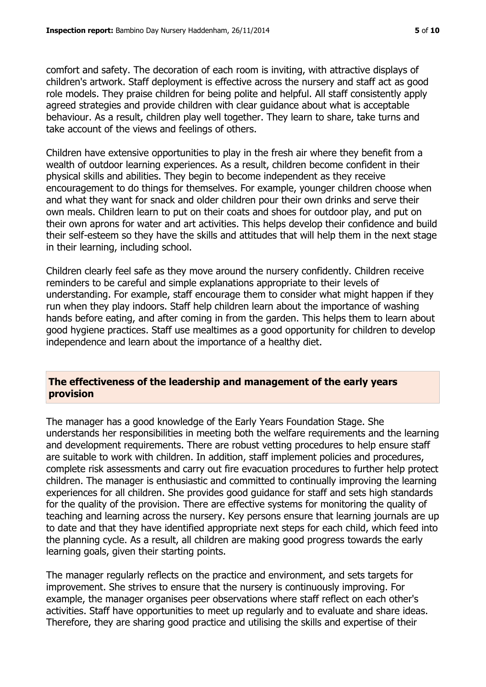comfort and safety. The decoration of each room is inviting, with attractive displays of children's artwork. Staff deployment is effective across the nursery and staff act as good role models. They praise children for being polite and helpful. All staff consistently apply agreed strategies and provide children with clear guidance about what is acceptable behaviour. As a result, children play well together. They learn to share, take turns and take account of the views and feelings of others.

Children have extensive opportunities to play in the fresh air where they benefit from a wealth of outdoor learning experiences. As a result, children become confident in their physical skills and abilities. They begin to become independent as they receive encouragement to do things for themselves. For example, younger children choose when and what they want for snack and older children pour their own drinks and serve their own meals. Children learn to put on their coats and shoes for outdoor play, and put on their own aprons for water and art activities. This helps develop their confidence and build their self-esteem so they have the skills and attitudes that will help them in the next stage in their learning, including school.

Children clearly feel safe as they move around the nursery confidently. Children receive reminders to be careful and simple explanations appropriate to their levels of understanding. For example, staff encourage them to consider what might happen if they run when they play indoors. Staff help children learn about the importance of washing hands before eating, and after coming in from the garden. This helps them to learn about good hygiene practices. Staff use mealtimes as a good opportunity for children to develop independence and learn about the importance of a healthy diet.

## **The effectiveness of the leadership and management of the early years provision**

The manager has a good knowledge of the Early Years Foundation Stage. She understands her responsibilities in meeting both the welfare requirements and the learning and development requirements. There are robust vetting procedures to help ensure staff are suitable to work with children. In addition, staff implement policies and procedures, complete risk assessments and carry out fire evacuation procedures to further help protect children. The manager is enthusiastic and committed to continually improving the learning experiences for all children. She provides good guidance for staff and sets high standards for the quality of the provision. There are effective systems for monitoring the quality of teaching and learning across the nursery. Key persons ensure that learning journals are up to date and that they have identified appropriate next steps for each child, which feed into the planning cycle. As a result, all children are making good progress towards the early learning goals, given their starting points.

The manager regularly reflects on the practice and environment, and sets targets for improvement. She strives to ensure that the nursery is continuously improving. For example, the manager organises peer observations where staff reflect on each other's activities. Staff have opportunities to meet up regularly and to evaluate and share ideas. Therefore, they are sharing good practice and utilising the skills and expertise of their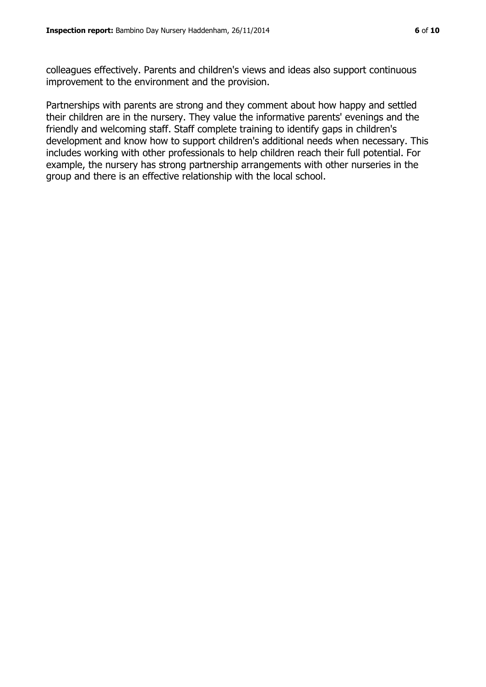colleagues effectively. Parents and children's views and ideas also support continuous improvement to the environment and the provision.

Partnerships with parents are strong and they comment about how happy and settled their children are in the nursery. They value the informative parents' evenings and the friendly and welcoming staff. Staff complete training to identify gaps in children's development and know how to support children's additional needs when necessary. This includes working with other professionals to help children reach their full potential. For example, the nursery has strong partnership arrangements with other nurseries in the group and there is an effective relationship with the local school.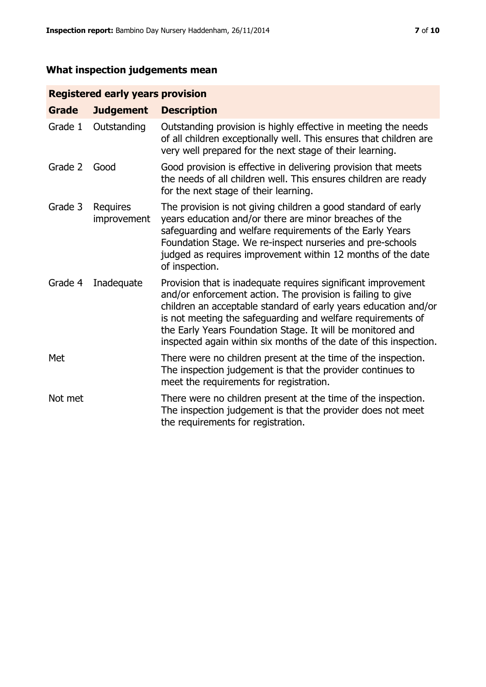## **What inspection judgements mean**

## **Registered early years provision**

| <b>Grade</b> | <b>Judgement</b>        | <b>Description</b>                                                                                                                                                                                                                                                                                                                                                                                |
|--------------|-------------------------|---------------------------------------------------------------------------------------------------------------------------------------------------------------------------------------------------------------------------------------------------------------------------------------------------------------------------------------------------------------------------------------------------|
| Grade 1      | Outstanding             | Outstanding provision is highly effective in meeting the needs<br>of all children exceptionally well. This ensures that children are<br>very well prepared for the next stage of their learning.                                                                                                                                                                                                  |
| Grade 2      | Good                    | Good provision is effective in delivering provision that meets<br>the needs of all children well. This ensures children are ready<br>for the next stage of their learning.                                                                                                                                                                                                                        |
| Grade 3      | Requires<br>improvement | The provision is not giving children a good standard of early<br>years education and/or there are minor breaches of the<br>safeguarding and welfare requirements of the Early Years<br>Foundation Stage. We re-inspect nurseries and pre-schools<br>judged as requires improvement within 12 months of the date<br>of inspection.                                                                 |
| Grade 4      | Inadequate              | Provision that is inadequate requires significant improvement<br>and/or enforcement action. The provision is failing to give<br>children an acceptable standard of early years education and/or<br>is not meeting the safeguarding and welfare requirements of<br>the Early Years Foundation Stage. It will be monitored and<br>inspected again within six months of the date of this inspection. |
| Met          |                         | There were no children present at the time of the inspection.<br>The inspection judgement is that the provider continues to<br>meet the requirements for registration.                                                                                                                                                                                                                            |
| Not met      |                         | There were no children present at the time of the inspection.<br>The inspection judgement is that the provider does not meet<br>the requirements for registration.                                                                                                                                                                                                                                |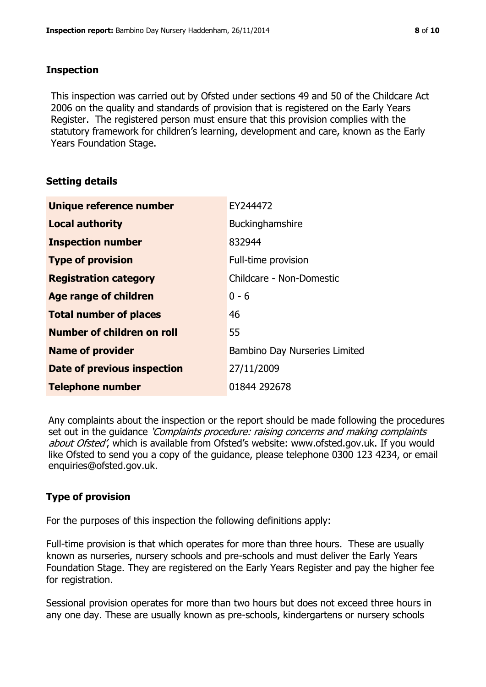## **Inspection**

This inspection was carried out by Ofsted under sections 49 and 50 of the Childcare Act 2006 on the quality and standards of provision that is registered on the Early Years Register. The registered person must ensure that this provision complies with the statutory framework for children's learning, development and care, known as the Early Years Foundation Stage.

## **Setting details**

| Unique reference number       | EY244472                      |
|-------------------------------|-------------------------------|
| <b>Local authority</b>        | <b>Buckinghamshire</b>        |
| <b>Inspection number</b>      | 832944                        |
| <b>Type of provision</b>      | Full-time provision           |
| <b>Registration category</b>  | Childcare - Non-Domestic      |
| Age range of children         | $0 - 6$                       |
| <b>Total number of places</b> | 46                            |
| Number of children on roll    | 55                            |
| <b>Name of provider</b>       | Bambino Day Nurseries Limited |
| Date of previous inspection   | 27/11/2009                    |
| <b>Telephone number</b>       | 01844 292678                  |

Any complaints about the inspection or the report should be made following the procedures set out in the guidance *'Complaints procedure: raising concerns and making complaints* about Ofsted', which is available from Ofsted's website: www.ofsted.gov.uk. If you would like Ofsted to send you a copy of the guidance, please telephone 0300 123 4234, or email enquiries@ofsted.gov.uk.

## **Type of provision**

For the purposes of this inspection the following definitions apply:

Full-time provision is that which operates for more than three hours. These are usually known as nurseries, nursery schools and pre-schools and must deliver the Early Years Foundation Stage. They are registered on the Early Years Register and pay the higher fee for registration.

Sessional provision operates for more than two hours but does not exceed three hours in any one day. These are usually known as pre-schools, kindergartens or nursery schools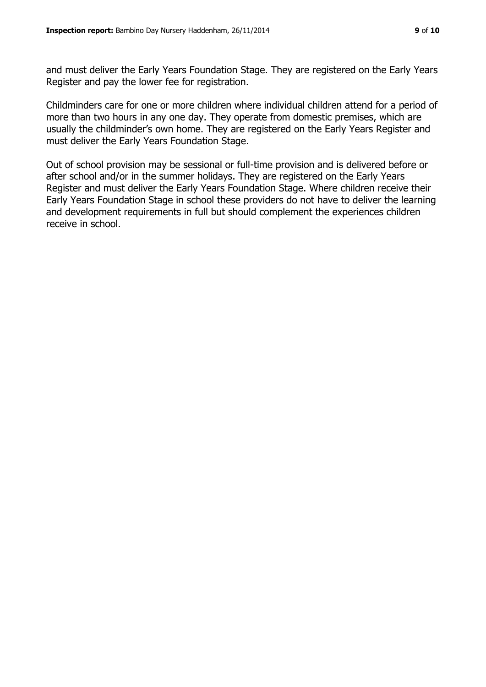and must deliver the Early Years Foundation Stage. They are registered on the Early Years Register and pay the lower fee for registration.

Childminders care for one or more children where individual children attend for a period of more than two hours in any one day. They operate from domestic premises, which are usually the childminder's own home. They are registered on the Early Years Register and must deliver the Early Years Foundation Stage.

Out of school provision may be sessional or full-time provision and is delivered before or after school and/or in the summer holidays. They are registered on the Early Years Register and must deliver the Early Years Foundation Stage. Where children receive their Early Years Foundation Stage in school these providers do not have to deliver the learning and development requirements in full but should complement the experiences children receive in school.